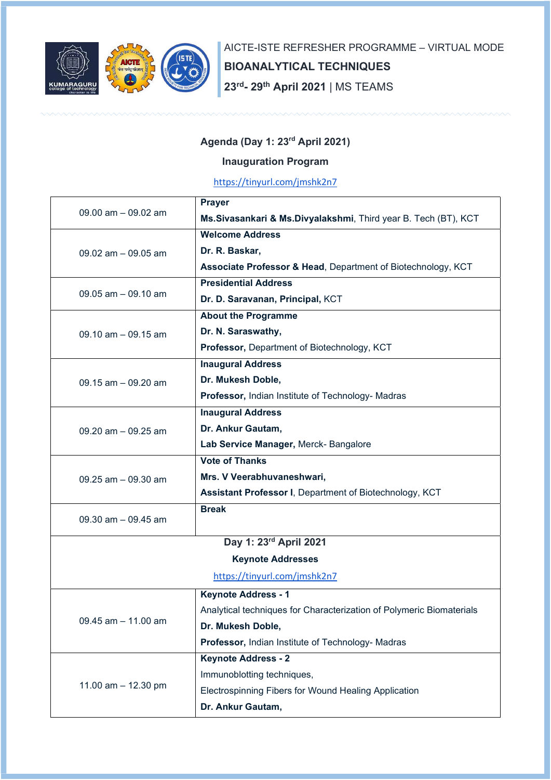

AICTE-ISTE REFRESHER PROGRAMME – VIRTUAL MODE BIOANALYTICAL TECHNIQUES 23rd- 29th April 2021 | MS TEAMS

## Agenda (Day 1: 23rd April 2021)

## Inauguration Program

https://tinyurl.com/jmshk2n7

| 09.00 am - 09.02 am          | <b>Prayer</b>                                                        |  |  |  |
|------------------------------|----------------------------------------------------------------------|--|--|--|
|                              | Ms. Sivasankari & Ms. Divyalakshmi, Third year B. Tech (BT), KCT     |  |  |  |
|                              | <b>Welcome Address</b>                                               |  |  |  |
| 09.02 am $-$ 09.05 am        | Dr. R. Baskar,                                                       |  |  |  |
|                              | Associate Professor & Head, Department of Biotechnology, KCT         |  |  |  |
| 09.05 $am - 09.10$ am        | <b>Presidential Address</b>                                          |  |  |  |
|                              | Dr. D. Saravanan, Principal, KCT                                     |  |  |  |
| $09.10$ am $-09.15$ am       | <b>About the Programme</b>                                           |  |  |  |
|                              | Dr. N. Saraswathy,                                                   |  |  |  |
|                              | Professor, Department of Biotechnology, KCT                          |  |  |  |
| 09.15 $am - 09.20 am$        | <b>Inaugural Address</b>                                             |  |  |  |
|                              | Dr. Mukesh Doble,                                                    |  |  |  |
|                              | Professor, Indian Institute of Technology- Madras                    |  |  |  |
| 09.20 am - 09.25 am          | <b>Inaugural Address</b>                                             |  |  |  |
|                              | Dr. Ankur Gautam,                                                    |  |  |  |
|                              | Lab Service Manager, Merck- Bangalore                                |  |  |  |
| 09.25 am - 09.30 am          | <b>Vote of Thanks</b>                                                |  |  |  |
|                              | Mrs. V Veerabhuvaneshwari,                                           |  |  |  |
|                              | Assistant Professor I, Department of Biotechnology, KCT              |  |  |  |
| 09.30 am $-$ 09.45 am        | <b>Break</b>                                                         |  |  |  |
|                              |                                                                      |  |  |  |
|                              | Day 1: 23rd April 2021                                               |  |  |  |
|                              | <b>Keynote Addresses</b>                                             |  |  |  |
| https://tinyurl.com/jmshk2n7 |                                                                      |  |  |  |
| 09.45 am - 11.00 am          | <b>Keynote Address - 1</b>                                           |  |  |  |
|                              | Analytical techniques for Characterization of Polymeric Biomaterials |  |  |  |
|                              | Dr. Mukesh Doble,                                                    |  |  |  |
|                              | Professor, Indian Institute of Technology- Madras                    |  |  |  |
| 11.00 $am - 12.30$ pm        | <b>Keynote Address - 2</b>                                           |  |  |  |
|                              | Immunoblotting techniques,                                           |  |  |  |
|                              | Electrospinning Fibers for Wound Healing Application                 |  |  |  |
|                              | Dr. Ankur Gautam,                                                    |  |  |  |